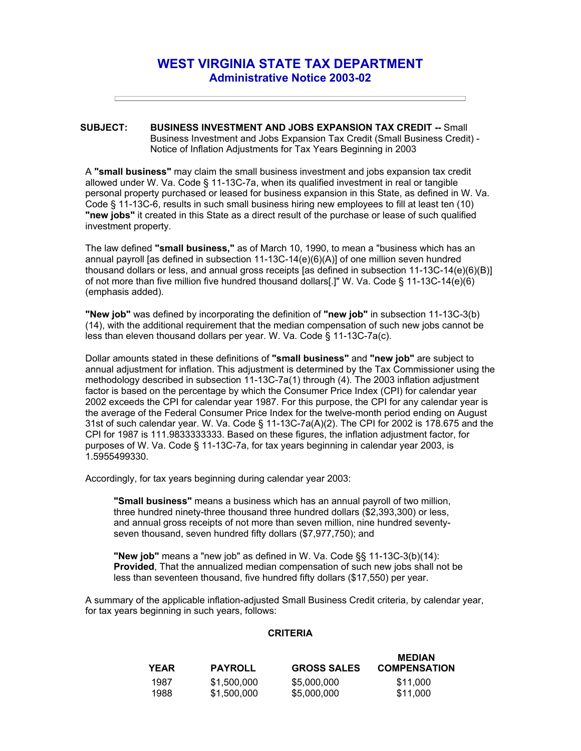## **WEST VIRGINIA STATE TAX DEPARTMENT Administrative Notice 2003-02**

## **SUBJECT: BUSINESS INVESTMENT AND JOBS EXPANSION TAX CREDIT --** Small Business Investment and Jobs Expansion Tax Credit (Small Business Credit) - Notice of Inflation Adjustments for Tax Years Beginning in 2003

A **"small business"** may claim the small business investment and jobs expansion tax credit allowed under W. Va. Code § 11-13C-7a, when its qualified investment in real or tangible personal property purchased or leased for business expansion in this State, as defined in W. Va. Code § 11-13C-6, results in such small business hiring new employees to fill at least ten (10) **"new jobs"** it created in this State as a direct result of the purchase or lease of such qualified investment property.

The law defined **"small business,"** as of March 10, 1990, to mean a "business which has an annual payroll [as defined in subsection 11-13C-14(e)(6)(A)] of one million seven hundred thousand dollars or less, and annual gross receipts [as defined in subsection 11-13C-14(e)(6)(B)] of not more than five million five hundred thousand dollars[.]" W. Va. Code § 11-13C-14(e)(6) (emphasis added).

**"New job"** was defined by incorporating the definition of **"new job"** in subsection 11-13C-3(b) (14), with the additional requirement that the median compensation of such new jobs cannot be less than eleven thousand dollars per year. W. Va. Code § 11-13C-7a(c).

Dollar amounts stated in these definitions of **"small business"** and **"new job"** are subject to annual adjustment for inflation. This adjustment is determined by the Tax Commissioner using the methodology described in subsection 11-13C-7a(1) through (4). The 2003 inflation adjustment factor is based on the percentage by which the Consumer Price Index (CPI) for calendar year 2002 exceeds the CPI for calendar year 1987. For this purpose, the CPI for any calendar year is the average of the Federal Consumer Price Index for the twelve-month period ending on August 31st of such calendar year. W. Va. Code § 11-13C-7a(A)(2). The CPI for 2002 is 178.675 and the CPI for 1987 is 111.9833333333. Based on these figures, the inflation adjustment factor, for purposes of W. Va. Code § 11-13C-7a, for tax years beginning in calendar year 2003, is 1.5955499330.

Accordingly, for tax years beginning during calendar year 2003:

**"Small business"** means a business which has an annual payroll of two million, three hundred ninety-three thousand three hundred dollars (\$2,393,300) or less, and annual gross receipts of not more than seven million, nine hundred seventyseven thousand, seven hundred fifty dollars (\$7,977,750); and

**"New job"** means a "new job" as defined in W. Va. Code §§ 11-13C-3(b)(14): **Provided**, That the annualized median compensation of such new jobs shall not be less than seventeen thousand, five hundred fifty dollars (\$17,550) per year.

A summary of the applicable inflation-adjusted Small Business Credit criteria, by calendar year, for tax years beginning in such years, follows:

## **CRITERIA**

| <b>YEAR</b> | <b>PAYROLL</b> | <b>GROSS SALES</b> | <b>MEDIAN</b><br><b>COMPENSATION</b> |
|-------------|----------------|--------------------|--------------------------------------|
| 1987        | \$1,500,000    | \$5,000,000        | \$11.000                             |
| 1988        | \$1,500,000    | \$5,000,000        | \$11,000                             |